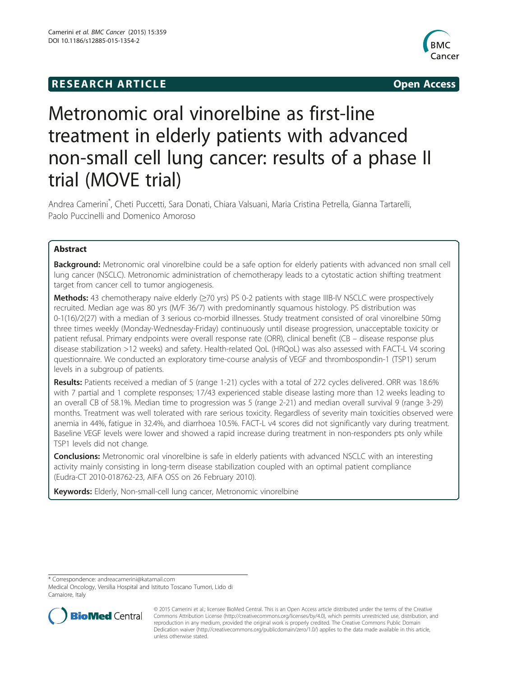## **RESEARCH ARTICLE Example 2014 The SEAR CH ACCESS**



# Metronomic oral vinorelbine as first-line treatment in elderly patients with advanced non-small cell lung cancer: results of a phase II trial (MOVE trial)

Andrea Camerini\* , Cheti Puccetti, Sara Donati, Chiara Valsuani, Maria Cristina Petrella, Gianna Tartarelli, Paolo Puccinelli and Domenico Amoroso

### Abstract

Background: Metronomic oral vinorelbine could be a safe option for elderly patients with advanced non small cell lung cancer (NSCLC). Metronomic administration of chemotherapy leads to a cytostatic action shifting treatment target from cancer cell to tumor angiogenesis.

Methods: 43 chemotherapy naive elderly (≥70 yrs) PS 0-2 patients with stage IIIB-IV NSCLC were prospectively recruited. Median age was 80 yrs (M/F 36/7) with predominantly squamous histology. PS distribution was 0-1(16)/2(27) with a median of 3 serious co-morbid illnesses. Study treatment consisted of oral vinorelbine 50mg three times weekly (Monday-Wednesday-Friday) continuously until disease progression, unacceptable toxicity or patient refusal. Primary endpoints were overall response rate (ORR), clinical benefit (CB – disease response plus disease stabilization >12 weeks) and safety. Health-related QoL (HRQoL) was also assessed with FACT-L V4 scoring questionnaire. We conducted an exploratory time-course analysis of VEGF and thrombospondin-1 (TSP1) serum levels in a subgroup of patients.

Results: Patients received a median of 5 (range 1-21) cycles with a total of 272 cycles delivered. ORR was 18.6% with 7 partial and 1 complete responses; 17/43 experienced stable disease lasting more than 12 weeks leading to an overall CB of 58.1%. Median time to progression was 5 (range 2-21) and median overall survival 9 (range 3-29) months. Treatment was well tolerated with rare serious toxicity. Regardless of severity main toxicities observed were anemia in 44%, fatigue in 32.4%, and diarrhoea 10.5%. FACT-L v4 scores did not significantly vary during treatment. Baseline VEGF levels were lower and showed a rapid increase during treatment in non-responders pts only while TSP1 levels did not change.

**Conclusions:** Metronomic oral vinorelbine is safe in elderly patients with advanced NSCLC with an interesting activity mainly consisting in long-term disease stabilization coupled with an optimal patient compliance (Eudra-CT 2010-018762-23, AIFA OSS on 26 February 2010).

Keywords: Elderly, Non-small-cell lung cancer, Metronomic vinorelbine

\* Correspondence: [andreacamerini@katamail.com](mailto:andreacamerini@katamail.com)

Medical Oncology, Versilia Hospital and Istituto Toscano Tumori, Lido di Camaiore, Italy



<sup>© 2015</sup> Camerini et al.; licensee BioMed Central. This is an Open Access article distributed under the terms of the Creative Commons Attribution License [\(http://creativecommons.org/licenses/by/4.0\)](http://creativecommons.org/licenses/by/4.0), which permits unrestricted use, distribution, and reproduction in any medium, provided the original work is properly credited. The Creative Commons Public Domain Dedication waiver [\(http://creativecommons.org/publicdomain/zero/1.0/](http://creativecommons.org/publicdomain/zero/1.0/)) applies to the data made available in this article, unless otherwise stated.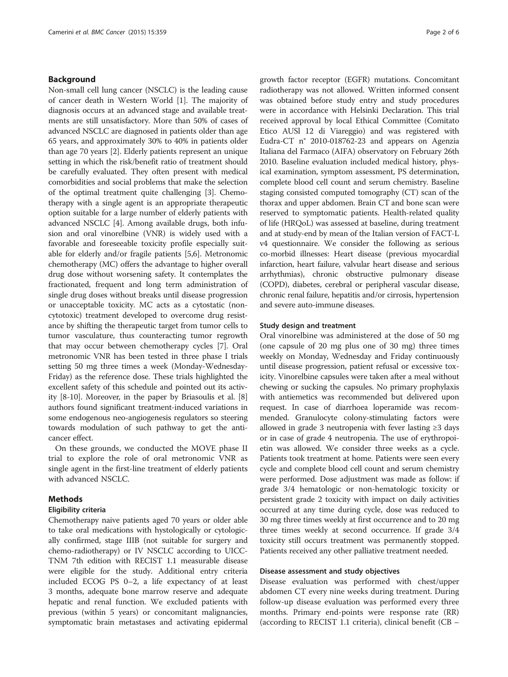#### Background

Non-small cell lung cancer (NSCLC) is the leading cause of cancer death in Western World [\[1](#page-5-0)]. The majority of diagnosis occurs at an advanced stage and available treatments are still unsatisfactory. More than 50% of cases of advanced NSCLC are diagnosed in patients older than age 65 years, and approximately 30% to 40% in patients older than age 70 years [\[2](#page-5-0)]. Elderly patients represent an unique setting in which the risk/benefit ratio of treatment should be carefully evaluated. They often present with medical comorbidities and social problems that make the selection of the optimal treatment quite challenging [\[3](#page-5-0)]. Chemotherapy with a single agent is an appropriate therapeutic option suitable for a large number of elderly patients with advanced NSCLC [\[4](#page-5-0)]. Among available drugs, both infusion and oral vinorelbine (VNR) is widely used with a favorable and foreseeable toxicity profile especially suitable for elderly and/or fragile patients [[5,6](#page-5-0)]. Metronomic chemotherapy (MC) offers the advantage to higher overall drug dose without worsening safety. It contemplates the fractionated, frequent and long term administration of single drug doses without breaks until disease progression or unacceptable toxicity. MC acts as a cytostatic (noncytotoxic) treatment developed to overcome drug resistance by shifting the therapeutic target from tumor cells to tumor vasculature, thus counteracting tumor regrowth that may occur between chemotherapy cycles [[7](#page-5-0)]. Oral metronomic VNR has been tested in three phase I trials setting 50 mg three times a week (Monday-Wednesday-Friday) as the reference dose. These trials highlighted the excellent safety of this schedule and pointed out its activity [[8](#page-5-0)-[10](#page-5-0)]. Moreover, in the paper by Briasoulis et al. [[8](#page-5-0)] authors found significant treatment-induced variations in some endogenous neo-angiogenesis regulators so steering towards modulation of such pathway to get the anticancer effect.

On these grounds, we conducted the MOVE phase II trial to explore the role of oral metronomic VNR as single agent in the first-line treatment of elderly patients with advanced NSCLC.

#### Methods

#### Eligibility criteria

Chemotherapy naive patients aged 70 years or older able to take oral medications with hystologically or cytologically confirmed, stage IIIB (not suitable for surgery and chemo-radiotherapy) or IV NSCLC according to UICC-TNM 7th edition with RECIST 1.1 measurable disease were eligible for the study. Additional entry criteria included ECOG PS 0–2, a life expectancy of at least 3 months, adequate bone marrow reserve and adequate hepatic and renal function. We excluded patients with previous (within 5 years) or concomitant malignancies, symptomatic brain metastases and activating epidermal

growth factor receptor (EGFR) mutations. Concomitant radiotherapy was not allowed. Written informed consent was obtained before study entry and study procedures were in accordance with Helsinki Declaration. This trial received approval by local Ethical Committee (Comitato Etico AUSl 12 di Viareggio) and was registered with Eudra-CT n° 2010-018762-23 and appears on Agenzia Italiana del Farmaco (AIFA) observatory on February 26th 2010. Baseline evaluation included medical history, physical examination, symptom assessment, PS determination, complete blood cell count and serum chemistry. Baseline staging consisted computed tomography (CT) scan of the thorax and upper abdomen. Brain CT and bone scan were reserved to symptomatic patients. Health-related quality of life (HRQoL) was assessed at baseline, during treatment and at study-end by mean of the Italian version of FACT-L v4 questionnaire. We consider the following as serious co-morbid illnesses: Heart disease (previous myocardial infarction, heart failure, valvular heart disease and serious arrhythmias), chronic obstructive pulmonary disease (COPD), diabetes, cerebral or peripheral vascular disease, chronic renal failure, hepatitis and/or cirrosis, hypertension and severe auto-immune diseases.

#### Study design and treatment

Oral vinorelbine was administered at the dose of 50 mg (one capsule of 20 mg plus one of 30 mg) three times weekly on Monday, Wednesday and Friday continuously until disease progression, patient refusal or excessive toxicity. Vinorelbine capsules were taken after a meal without chewing or sucking the capsules. No primary prophylaxis with antiemetics was recommended but delivered upon request. In case of diarrhoea loperamide was recommended. Granulocyte colony-stimulating factors were allowed in grade 3 neutropenia with fever lasting ≥3 days or in case of grade 4 neutropenia. The use of erythropoietin was allowed. We consider three weeks as a cycle. Patients took treatment at home. Patients were seen every cycle and complete blood cell count and serum chemistry were performed. Dose adjustment was made as follow: if grade 3/4 hematologic or non-hematologic toxicity or persistent grade 2 toxicity with impact on daily activities occurred at any time during cycle, dose was reduced to 30 mg three times weekly at first occurrence and to 20 mg three times weekly at second occurrence. If grade 3/4 toxicity still occurs treatment was permanently stopped. Patients received any other palliative treatment needed.

#### Disease assessment and study objectives

Disease evaluation was performed with chest/upper abdomen CT every nine weeks during treatment. During follow-up disease evaluation was performed every three months. Primary end-points were response rate (RR) (according to RECIST 1.1 criteria), clinical benefit (CB –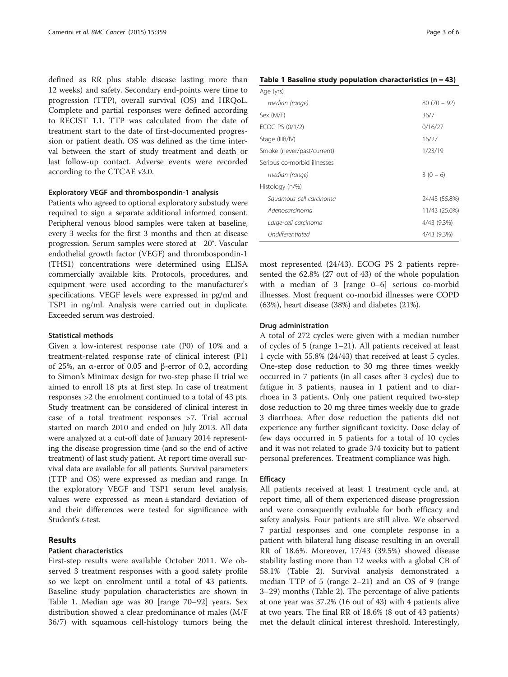defined as RR plus stable disease lasting more than 12 weeks) and safety. Secondary end-points were time to progression (TTP), overall survival (OS) and HRQoL. Complete and partial responses were defined according to RECIST 1.1. TTP was calculated from the date of treatment start to the date of first-documented progression or patient death. OS was defined as the time interval between the start of study treatment and death or last follow-up contact. Adverse events were recorded according to the CTCAE v3.0.

#### Exploratory VEGF and thrombospondin-1 analysis

Patients who agreed to optional exploratory substudy were required to sign a separate additional informed consent. Peripheral venous blood samples were taken at baseline, every 3 weeks for the first 3 months and then at disease progression. Serum samples were stored at −20°. Vascular endothelial growth factor (VEGF) and thrombospondin-1 (THS1) concentrations were determined using ELISA commercially available kits. Protocols, procedures, and equipment were used according to the manufacturer's specifications. VEGF levels were expressed in pg/ml and TSP1 in ng/ml. Analysis were carried out in duplicate. Exceeded serum was destroied.

#### Statistical methods

Given a low-interest response rate (P0) of 10% and a treatment-related response rate of clinical interest (P1) of 25%, an α-error of 0.05 and β-error of 0.2, according to Simon's Minimax design for two-step phase II trial we aimed to enroll 18 pts at first step. In case of treatment responses >2 the enrolment continued to a total of 43 pts. Study treatment can be considered of clinical interest in case of a total treatment responses >7. Trial accrual started on march 2010 and ended on July 2013. All data were analyzed at a cut-off date of January 2014 representing the disease progression time (and so the end of active treatment) of last study patient. At report time overall survival data are available for all patients. Survival parameters (TTP and OS) were expressed as median and range. In the exploratory VEGF and TSP1 serum level analysis, values were expressed as mean ± standard deviation of and their differences were tested for significance with Student's t-test.

#### Results

#### Patient characteristics

First-step results were available October 2011. We observed 3 treatment responses with a good safety profile so we kept on enrolment until a total of 43 patients. Baseline study population characteristics are shown in Table 1. Median age was 80 [range 70–92] years. Sex distribution showed a clear predominance of males (M/F 36/7) with squamous cell-histology tumors being the

#### Table 1 Baseline study population characteristics  $(n = 43)$

| Age (yrs)                   |               |
|-----------------------------|---------------|
| median (range)              | $80(70 - 92)$ |
| Sex (M/F)                   | 36/7          |
| ECOG PS (0/1/2)             | 0/16/27       |
| Stage (IIIB/IV)             | 16/27         |
| Smoke (never/past/current)  | 1/23/19       |
| Serious co-morbid illnesses |               |
| median (range)              | $3(0 - 6)$    |
| Histology (n/%)             |               |
| Squamous cell carcinoma     | 24/43 (55.8%) |
| Adenocarcinoma              | 11/43 (25.6%) |
| Large-cell carcinoma        | 4/43 (9.3%)   |
| Undifferentiated            | 4/43 (9.3%)   |

most represented (24/43). ECOG PS 2 patients represented the 62.8% (27 out of 43) of the whole population with a median of 3 [range 0–6] serious co-morbid illnesses. Most frequent co-morbid illnesses were COPD (63%), heart disease (38%) and diabetes (21%).

#### Drug administration

A total of 272 cycles were given with a median number of cycles of 5 (range 1–21). All patients received at least 1 cycle with 55.8% (24/43) that received at least 5 cycles. One-step dose reduction to 30 mg three times weekly occurred in 7 patients (in all cases after 3 cycles) due to fatigue in 3 patients, nausea in 1 patient and to diarrhoea in 3 patients. Only one patient required two-step dose reduction to 20 mg three times weekly due to grade 3 diarrhoea. After dose reduction the patients did not experience any further significant toxicity. Dose delay of few days occurred in 5 patients for a total of 10 cycles and it was not related to grade 3/4 toxicity but to patient personal preferences. Treatment compliance was high.

#### **Efficacy**

All patients received at least 1 treatment cycle and, at report time, all of them experienced disease progression and were consequently evaluable for both efficacy and safety analysis. Four patients are still alive. We observed 7 partial responses and one complete response in a patient with bilateral lung disease resulting in an overall RR of 18.6%. Moreover, 17/43 (39.5%) showed disease stability lasting more than 12 weeks with a global CB of 58.1% (Table [2](#page-3-0)). Survival analysis demonstrated a median TTP of 5 (range 2–21) and an OS of 9 (range 3–29) months (Table [2\)](#page-3-0). The percentage of alive patients at one year was 37.2% (16 out of 43) with 4 patients alive at two years. The final RR of 18.6% (8 out of 43 patients) met the default clinical interest threshold. Interestingly,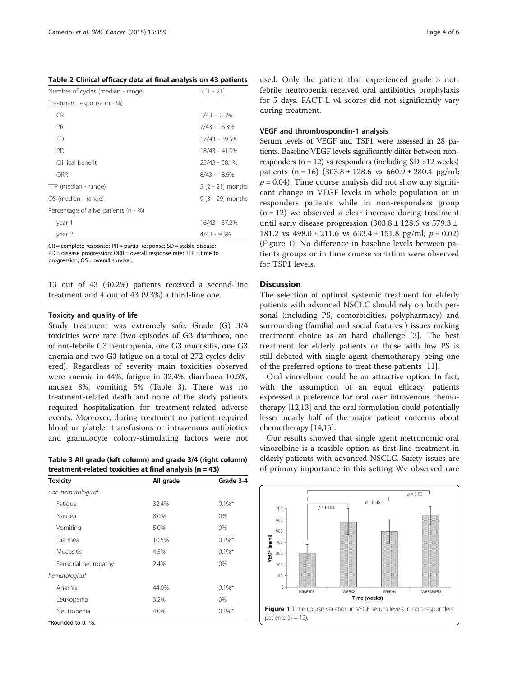<span id="page-3-0"></span>

|  | Table 2 Clinical efficacy data at final analysis on 43 patients |  |  |  |
|--|-----------------------------------------------------------------|--|--|--|
|--|-----------------------------------------------------------------|--|--|--|

| $1/43 - 2.3%$                                                                                                                                                                                                                  |
|--------------------------------------------------------------------------------------------------------------------------------------------------------------------------------------------------------------------------------|
| 7/43 - 16.3%                                                                                                                                                                                                                   |
| 17/43 - 39.5%                                                                                                                                                                                                                  |
| 18/43 - 41.9%                                                                                                                                                                                                                  |
| 25/43 - 58.1%                                                                                                                                                                                                                  |
| $8/43 - 18.6%$                                                                                                                                                                                                                 |
| $5$ [2 - 21] months                                                                                                                                                                                                            |
| $9$ [3 - 29] months                                                                                                                                                                                                            |
|                                                                                                                                                                                                                                |
| 16/43 - 37.2%                                                                                                                                                                                                                  |
| $4/43 - 9.3%$                                                                                                                                                                                                                  |
| and the control of the control of the control of the control of the control of the control of the control of the control of the control of the control of the control of the control of the control of the control of the cont |

 $CR = complete response$ ;  $PR = partial response$ ;  $SD = stable disease$ ;  $PD =$  disease progression;  $ORR =$  overall response rate;  $TTP =$  time to progression; OS = overall survival.

13 out of 43 (30.2%) patients received a second-line treatment and 4 out of 43 (9.3%) a third-line one.

#### Toxicity and quality of life

Study treatment was extremely safe. Grade (G) 3/4 toxicities were rare (two episodes of G3 diarrhoea, one of not-febrile G3 neutropenia, one G3 mucositis, one G3 anemia and two G3 fatigue on a total of 272 cycles delivered). Regardless of severity main toxicities observed were anemia in 44%, fatigue in 32.4%, diarrhoea 10.5%, nausea 8%, vomiting 5% (Table 3). There was no treatment-related death and none of the study patients required hospitalization for treatment-related adverse events. Moreover, during treatment no patient required blood or platelet transfusions or intravenous antibiotics and granulocyte colony-stimulating factors were not

Table 3 All grade (left column) and grade 3/4 (right column) treatment-related toxicities at final analysis ( $n = 43$ )

| <b>Toxicity</b>      | All grade | Grade 3-4 |
|----------------------|-----------|-----------|
| non-hematological    |           |           |
| Fatigue              | 32.4%     | $0.1\%$ * |
| Nausea               | 8.0%      | $0\%$     |
| Vomiting             | 5.0%      | 0%        |
| Diarrhea             | 10.5%     | $0.1\%$ * |
| <b>Mucositis</b>     | 4.5%      | $0.1\%$ * |
| Sensorial neuropathy | 2.4%      | $0\%$     |
| hematological        |           |           |
| Anemia               | 44.0%     | $0.1\%$ * |
| Leukopenia           | 3.2%      | $0\%$     |
| Neutropenia          | 4.0%      | $0.1\%$ * |

\*Rounded to 0.1%.

used. Only the patient that experienced grade 3 notfebrile neutropenia received oral antibiotics prophylaxis for 5 days. FACT-L v4 scores did not significantly vary during treatment.

#### VEGF and thrombospondin-1 analysis

Serum levels of VEGF and TSP1 were assessed in 28 patients. Baseline VEGF levels significantly differ between nonresponders ( $n = 12$ ) vs responders (including SD  $>12$  weeks) patients (n = 16)  $(303.8 \pm 128.6 \text{ vs } 660.9 \pm 280.4 \text{ pg/ml};$  $p = 0.04$ ). Time course analysis did not show any significant change in VEGF levels in whole population or in responders patients while in non-responders group  $(n = 12)$  we observed a clear increase during treatment until early disease progression  $(303.8 \pm 128.6 \text{ vs } 579.3 \pm 128.6 \text{ vs } 129.3 \pm 128.6 \text{ vs } 129.3 \pm 128.6 \text{ vs } 129.3 \pm 128.6 \text{ vs } 129.3 \pm 128.6 \text{ vs } 129.3 \pm 128.6 \text{ vs } 129.3 \pm 128.6 \text{ vs } 129.3 \pm 128.6 \text{ vs } 129.3 \pm 128.6 \text{$ 181.2 vs  $498.0 \pm 211.6$  vs  $633.4 \pm 151.8$  pg/ml;  $p = 0.02$ ) (Figure 1). No difference in baseline levels between patients groups or in time course variation were observed for TSP1 levels.

#### **Discussion**

The selection of optimal systemic treatment for elderly patients with advanced NSCLC should rely on both personal (including PS, comorbidities, polypharmacy) and surrounding (familial and social features ) issues making treatment choice as an hard challenge [\[3\]](#page-5-0). The best treatment for elderly patients or those with low PS is still debated with single agent chemotherapy being one of the preferred options to treat these patients [[11](#page-5-0)].

Oral vinorelbine could be an attractive option. In fact, with the assumption of an equal efficacy, patients expressed a preference for oral over intravenous chemotherapy [[12,13](#page-5-0)] and the oral formulation could potentially lesser nearly half of the major patient concerns about chemotherapy [\[14,15\]](#page-5-0).

Our results showed that single agent metronomic oral vinorelbine is a feasible option as first-line treatment in elderly patients with advanced NSCLC. Safety issues are of primary importance in this setting We observed rare

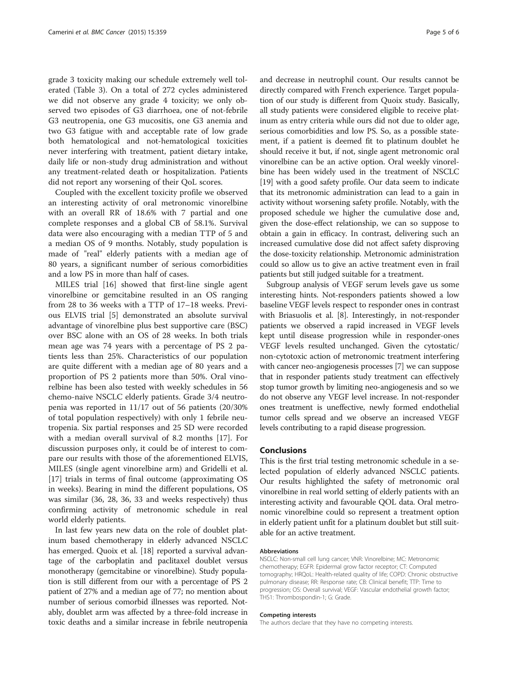grade 3 toxicity making our schedule extremely well tolerated (Table [3\)](#page-3-0). On a total of 272 cycles administered we did not observe any grade 4 toxicity; we only observed two episodes of G3 diarrhoea, one of not-febrile G3 neutropenia, one G3 mucositis, one G3 anemia and two G3 fatigue with and acceptable rate of low grade both hematological and not-hematological toxicities never interfering with treatment, patient dietary intake, daily life or non-study drug administration and without any treatment-related death or hospitalization. Patients did not report any worsening of their QoL scores.

Coupled with the excellent toxicity profile we observed an interesting activity of oral metronomic vinorelbine with an overall RR of 18.6% with 7 partial and one complete responses and a global CB of 58.1%. Survival data were also encouraging with a median TTP of 5 and a median OS of 9 months. Notably, study population is made of "real" elderly patients with a median age of 80 years, a significant number of serious comorbidities and a low PS in more than half of cases.

MILES trial [[16\]](#page-5-0) showed that first-line single agent vinorelbine or gemcitabine resulted in an OS ranging from 28 to 36 weeks with a TTP of 17–18 weeks. Previous ELVIS trial [[5\]](#page-5-0) demonstrated an absolute survival advantage of vinorelbine plus best supportive care (BSC) over BSC alone with an OS of 28 weeks. In both trials mean age was 74 years with a percentage of PS 2 patients less than 25%. Characteristics of our population are quite different with a median age of 80 years and a proportion of PS 2 patients more than 50%. Oral vinorelbine has been also tested with weekly schedules in 56 chemo-naive NSCLC elderly patients. Grade 3/4 neutropenia was reported in 11/17 out of 56 patients (20/30% of total population respectively) with only 1 febrile neutropenia. Six partial responses and 25 SD were recorded with a median overall survival of 8.2 months [\[17\]](#page-5-0). For discussion purposes only, it could be of interest to compare our results with those of the aforementioned ELVIS, MILES (single agent vinorelbine arm) and Gridelli et al. [[17\]](#page-5-0) trials in terms of final outcome (approximating OS in weeks). Bearing in mind the different populations, OS was similar (36, 28, 36, 33 and weeks respectively) thus confirming activity of metronomic schedule in real world elderly patients.

In last few years new data on the role of doublet platinum based chemotherapy in elderly advanced NSCLC has emerged. Quoix et al. [[18](#page-5-0)] reported a survival advantage of the carboplatin and paclitaxel doublet versus monotherapy (gemcitabine or vinorelbine). Study population is still different from our with a percentage of PS 2 patient of 27% and a median age of 77; no mention about number of serious comorbid illnesses was reported. Notably, doublet arm was affected by a three-fold increase in toxic deaths and a similar increase in febrile neutropenia

and decrease in neutrophil count. Our results cannot be directly compared with French experience. Target population of our study is different from Quoix study. Basically, all study patients were considered eligible to receive platinum as entry criteria while ours did not due to older age, serious comorbidities and low PS. So, as a possible statement, if a patient is deemed fit to platinum doublet he should receive it but, if not, single agent metronomic oral vinorelbine can be an active option. Oral weekly vinorelbine has been widely used in the treatment of NSCLC [[19](#page-5-0)] with a good safety profile. Our data seem to indicate that its metronomic administration can lead to a gain in activity without worsening safety profile. Notably, with the proposed schedule we higher the cumulative dose and, given the dose-effect relationship, we can so suppose to obtain a gain in efficacy. In contrast, delivering such an increased cumulative dose did not affect safety disproving the dose-toxicity relationship. Metronomic administration could so allow us to give an active treatment even in frail patients but still judged suitable for a treatment.

Subgroup analysis of VEGF serum levels gave us some interesting hints. Not-responders patients showed a low baseline VEGF levels respect to responder ones in contrast with Briasuolis et al. [\[8](#page-5-0)]. Interestingly, in not-responder patients we observed a rapid increased in VEGF levels kept until disease progression while in responder-ones VEGF levels resulted unchanged. Given the cytostatic/ non-cytotoxic action of metronomic treatment interfering with cancer neo-angiogenesis processes [\[7\]](#page-5-0) we can suppose that in responder patients study treatment can effectively stop tumor growth by limiting neo-angiogenesis and so we do not observe any VEGF level increase. In not-responder ones treatment is uneffective, newly formed endothelial tumor cells spread and we observe an increased VEGF levels contributing to a rapid disease progression.

#### Conclusions

This is the first trial testing metronomic schedule in a selected population of elderly advanced NSCLC patients. Our results highlighted the safety of metronomic oral vinorelbine in real world setting of elderly patients with an interesting activity and favourable QOL data. Oral metronomic vinorelbine could so represent a treatment option in elderly patient unfit for a platinum doublet but still suitable for an active treatment.

#### Abbreviations

NSCLC: Non-small cell lung cancer; VNR: Vinorelbine; MC: Metronomic chemotherapy; EGFR: Epidermal grow factor receptor; CT: Computed tomography; HRQoL: Health-related quality of life; COPD: Chronic obstructive pulmonary disease; RR: Response rate; CB: Clinical benefit; TTP: Time to progression; OS: Overall survival; VEGF: Vascular endothelial growth factor; THS1: Thrombospondin-1; G: Grade.

#### Competing interests

The authors declare that they have no competing interests.